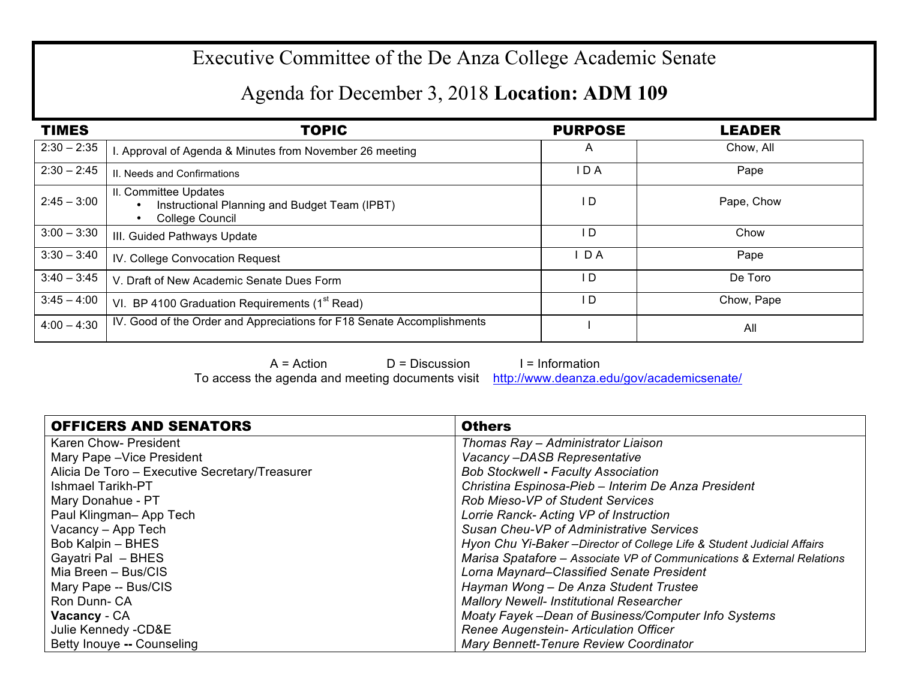## Executive Committee of the De Anza College Academic Senate

## Agenda for December 3, 2018 **Location: ADM 109**

| <b>TIMES</b>  | <b>TOPIC</b>                                                                                           | <b>PURPOSE</b> | <b>LEADER</b> |
|---------------|--------------------------------------------------------------------------------------------------------|----------------|---------------|
| $2:30 - 2:35$ | . Approval of Agenda & Minutes from November 26 meeting                                                | A              | Chow, All     |
| $2:30 - 2:45$ | II. Needs and Confirmations                                                                            | I D A          | Pape          |
| $2:45 - 3:00$ | II. Committee Updates<br>Instructional Planning and Budget Team (IPBT)<br>College Council<br>$\bullet$ | l D            | Pape, Chow    |
| $3:00 - 3:30$ | III. Guided Pathways Update                                                                            | l D            | Chow          |
| $3:30 - 3:40$ | IV. College Convocation Request                                                                        | D A            | Pape          |
| $3:40 - 3:45$ | V. Draft of New Academic Senate Dues Form                                                              | I D            | De Toro       |
| $3:45 - 4:00$ | VI. BP 4100 Graduation Requirements (1 <sup>st</sup> Read)                                             | l D            | Chow, Pape    |
| $4:00 - 4:30$ | IV. Good of the Order and Appreciations for F18 Senate Accomplishments                                 |                | All           |

 $A = Action$   $D = Discussion$  I = Information

To access the agenda and meeting documents visit http://www.deanza.edu/gov/academicsenate/

| <b>OFFICERS AND SENATORS</b>                   | <b>Others</b>                                                           |
|------------------------------------------------|-------------------------------------------------------------------------|
| Karen Chow- President                          | Thomas Ray - Administrator Liaison                                      |
| Mary Pape - Vice President                     | Vacancy-DASB Representative                                             |
| Alicia De Toro - Executive Secretary/Treasurer | <b>Bob Stockwell - Faculty Association</b>                              |
| Ishmael Tarikh-PT                              | Christina Espinosa-Pieb - Interim De Anza President                     |
| Mary Donahue - PT                              | <b>Rob Mieso-VP of Student Services</b>                                 |
| Paul Klingman-App Tech                         | Lorrie Ranck- Acting VP of Instruction                                  |
| Vacancy - App Tech                             | Susan Cheu-VP of Administrative Services                                |
| Bob Kalpin - BHES                              | Hyon Chu Yi-Baker - Director of College Life & Student Judicial Affairs |
| Gayatri Pal - BHES                             | Marisa Spatafore - Associate VP of Communications & External Relations  |
| Mia Breen - Bus/CIS                            | Lorna Maynard–Classified Senate President                               |
| Mary Pape -- Bus/CIS                           | Hayman Wong - De Anza Student Trustee                                   |
| Ron Dunn-CA                                    | <b>Mallory Newell- Institutional Researcher</b>                         |
| Vacancy - CA                                   | Moaty Fayek -Dean of Business/Computer Info Systems                     |
| Julie Kennedy - CD&E                           | Renee Augenstein- Articulation Officer                                  |
| Betty Inouye -- Counseling                     | Mary Bennett-Tenure Review Coordinator                                  |